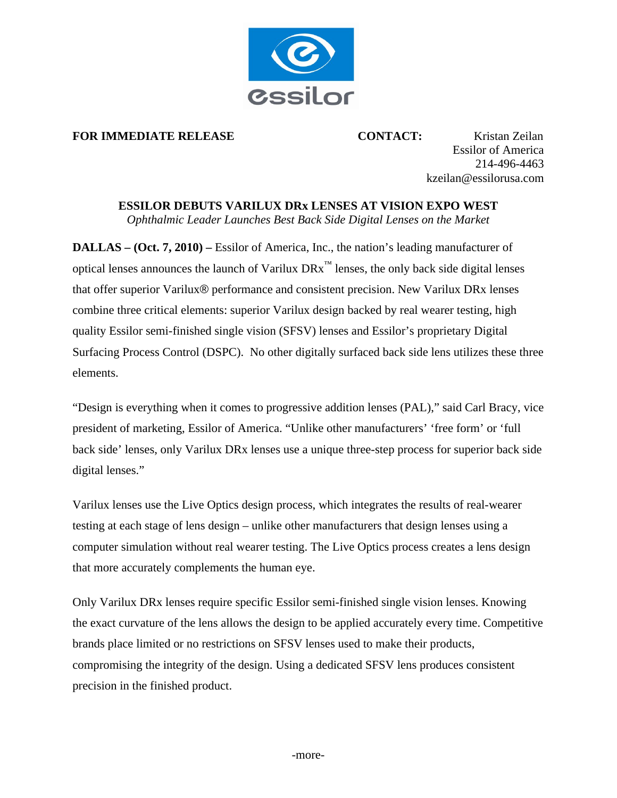

## **FOR IMMEDIATE RELEASE <b>CONTACT:** Kristan Zeilan

Essilor of America 214-496-4463 kzeilan@essilorusa.com

## **ESSILOR DEBUTS VARILUX DRx LENSES AT VISION EXPO WEST**

*Ophthalmic Leader Launches Best Back Side Digital Lenses on the Market* 

**DALLAS – (Oct. 7, 2010) –** Essilor of America, Inc., the nation's leading manufacturer of optical lenses announces the launch of Varilux  $DRx^{\text{m}}$  lenses, the only back side digital lenses that offer superior Varilux® performance and consistent precision. New Varilux DRx lenses combine three critical elements: superior Varilux design backed by real wearer testing, high quality Essilor semi-finished single vision (SFSV) lenses and Essilor's proprietary Digital Surfacing Process Control (DSPC). No other digitally surfaced back side lens utilizes these three elements.

"Design is everything when it comes to progressive addition lenses (PAL)," said Carl Bracy, vice president of marketing, Essilor of America. "Unlike other manufacturers' 'free form' or 'full back side' lenses, only Varilux DRx lenses use a unique three-step process for superior back side digital lenses."

Varilux lenses use the Live Optics design process, which integrates the results of real-wearer testing at each stage of lens design – unlike other manufacturers that design lenses using a computer simulation without real wearer testing. The Live Optics process creates a lens design that more accurately complements the human eye.

Only Varilux DRx lenses require specific Essilor semi-finished single vision lenses. Knowing the exact curvature of the lens allows the design to be applied accurately every time. Competitive brands place limited or no restrictions on SFSV lenses used to make their products, compromising the integrity of the design. Using a dedicated SFSV lens produces consistent precision in the finished product.